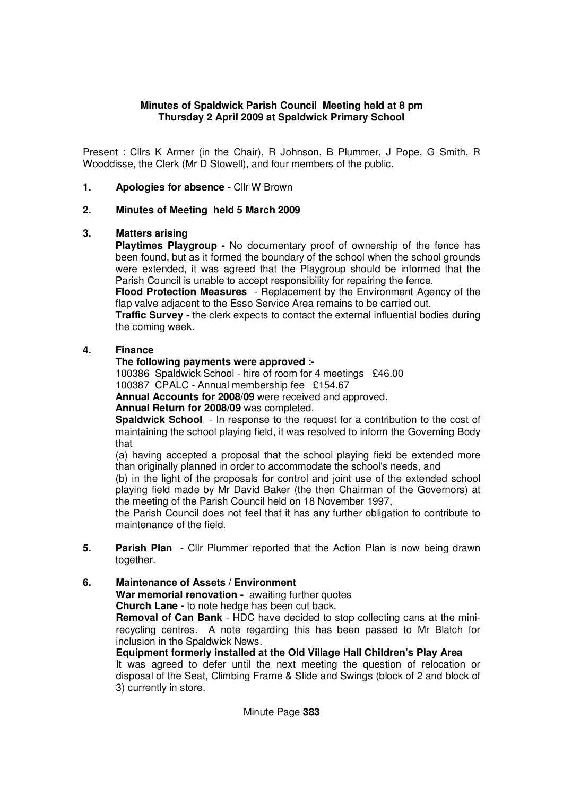#### **Minutes of Spaldwick Parish Council Meeting held at 8 pm Thursday 2 April 2009 at Spaldwick Primary School**

Present : Cllrs K Armer (in the Chair), R Johnson, B Plummer, J Pope, G Smith, R Wooddisse, the Clerk (Mr D Stowell), and four members of the public.

**1.** Apologies for absence - Cllr W Brown

#### **2. Minutes of Meeting held 5 March 2009**

## **3. Matters arising**

**Playtimes Playgroup -** No documentary proof of ownership of the fence has been found, but as it formed the boundary of the school when the school grounds were extended, it was agreed that the Playgroup should be informed that the Parish Council is unable to accept responsibility for repairing the fence.

**Flood Protection Measures** - Replacement by the Environment Agency of the flap valve adjacent to the Esso Service Area remains to be carried out.

**Traffic Survey -** the clerk expects to contact the external influential bodies during the coming week.

#### **4. Finance**

#### **The following payments were approved :-**

 100386 Spaldwick School - hire of room for 4 meetings £46.00 100387 CPALC - Annual membership fee £154.67

**Annual Accounts for 2008/09** were received and approved.

**Annual Return for 2008/09** was completed.

**Spaldwick School** - In response to the request for a contribution to the cost of maintaining the school playing field, it was resolved to inform the Governing Body that

(a) having accepted a proposal that the school playing field be extended more than originally planned in order to accommodate the school's needs, and

(b) in the light of the proposals for control and joint use of the extended school playing field made by Mr David Baker (the then Chairman of the Governors) at the meeting of the Parish Council held on 18 November 1997,

the Parish Council does not feel that it has any further obligation to contribute to maintenance of the field.

**5. Parish Plan** - Cllr Plummer reported that the Action Plan is now being drawn together.

#### **6. Maintenance of Assets / Environment**

**War memorial renovation - awaiting further quotes** 

**Church Lane -** to note hedge has been cut back.

**Removal of Can Bank** - HDC have decided to stop collecting cans at the minirecycling centres. A note regarding this has been passed to Mr Blatch for inclusion in the Spaldwick News.

**Equipment formerly installed at the Old Village Hall Children's Play Area** 

It was agreed to defer until the next meeting the question of relocation or disposal of the Seat, Climbing Frame & Slide and Swings (block of 2 and block of 3) currently in store.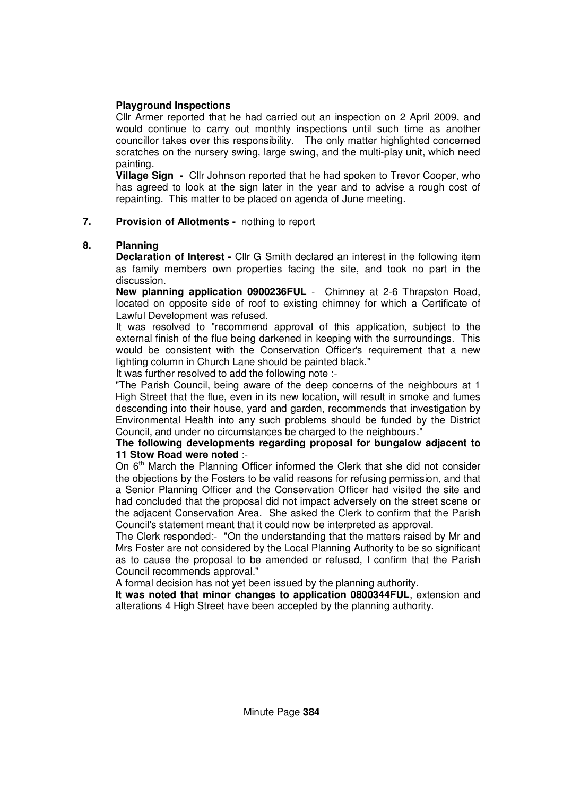# **Playground Inspections**

Cllr Armer reported that he had carried out an inspection on 2 April 2009, and would continue to carry out monthly inspections until such time as another councillor takes over this responsibility. The only matter highlighted concerned scratches on the nursery swing, large swing, and the multi-play unit, which need painting.

**Village Sign -** Cllr Johnson reported that he had spoken to Trevor Cooper, who has agreed to look at the sign later in the year and to advise a rough cost of repainting. This matter to be placed on agenda of June meeting.

# **7. Provision of Allotments -** nothing to report

## **8. Planning**

**Declaration of Interest -** Cllr G Smith declared an interest in the following item as family members own properties facing the site, and took no part in the discussion.

**New planning application 0900236FUL** - Chimney at 2-6 Thrapston Road, located on opposite side of roof to existing chimney for which a Certificate of Lawful Development was refused.

It was resolved to "recommend approval of this application, subject to the external finish of the flue being darkened in keeping with the surroundings. This would be consistent with the Conservation Officer's requirement that a new lighting column in Church Lane should be painted black."

It was further resolved to add the following note :-

"The Parish Council, being aware of the deep concerns of the neighbours at 1 High Street that the flue, even in its new location, will result in smoke and fumes descending into their house, yard and garden, recommends that investigation by Environmental Health into any such problems should be funded by the District Council, and under no circumstances be charged to the neighbours."

## **The following developments regarding proposal for bungalow adjacent to 11 Stow Road were noted** :-

On  $6<sup>th</sup>$  March the Planning Officer informed the Clerk that she did not consider the objections by the Fosters to be valid reasons for refusing permission, and that a Senior Planning Officer and the Conservation Officer had visited the site and had concluded that the proposal did not impact adversely on the street scene or the adjacent Conservation Area. She asked the Clerk to confirm that the Parish Council's statement meant that it could now be interpreted as approval.

The Clerk responded:- "On the understanding that the matters raised by Mr and Mrs Foster are not considered by the Local Planning Authority to be so significant as to cause the proposal to be amended or refused, I confirm that the Parish Council recommends approval."

A formal decision has not yet been issued by the planning authority.

**It was noted that minor changes to application 0800344FUL**, extension and alterations 4 High Street have been accepted by the planning authority.